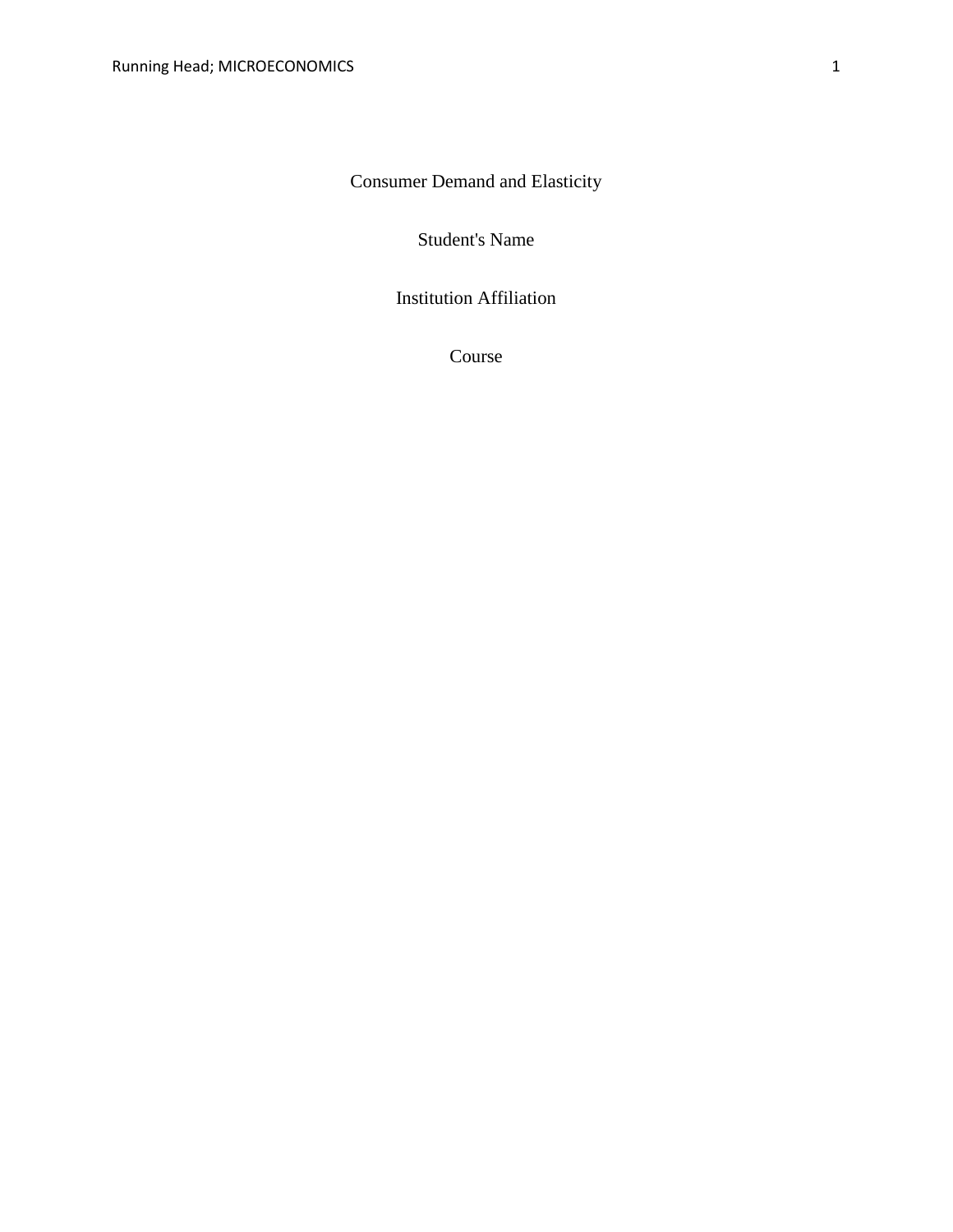Consumer Demand and Elasticity

Student's Name

Institution Affiliation

Course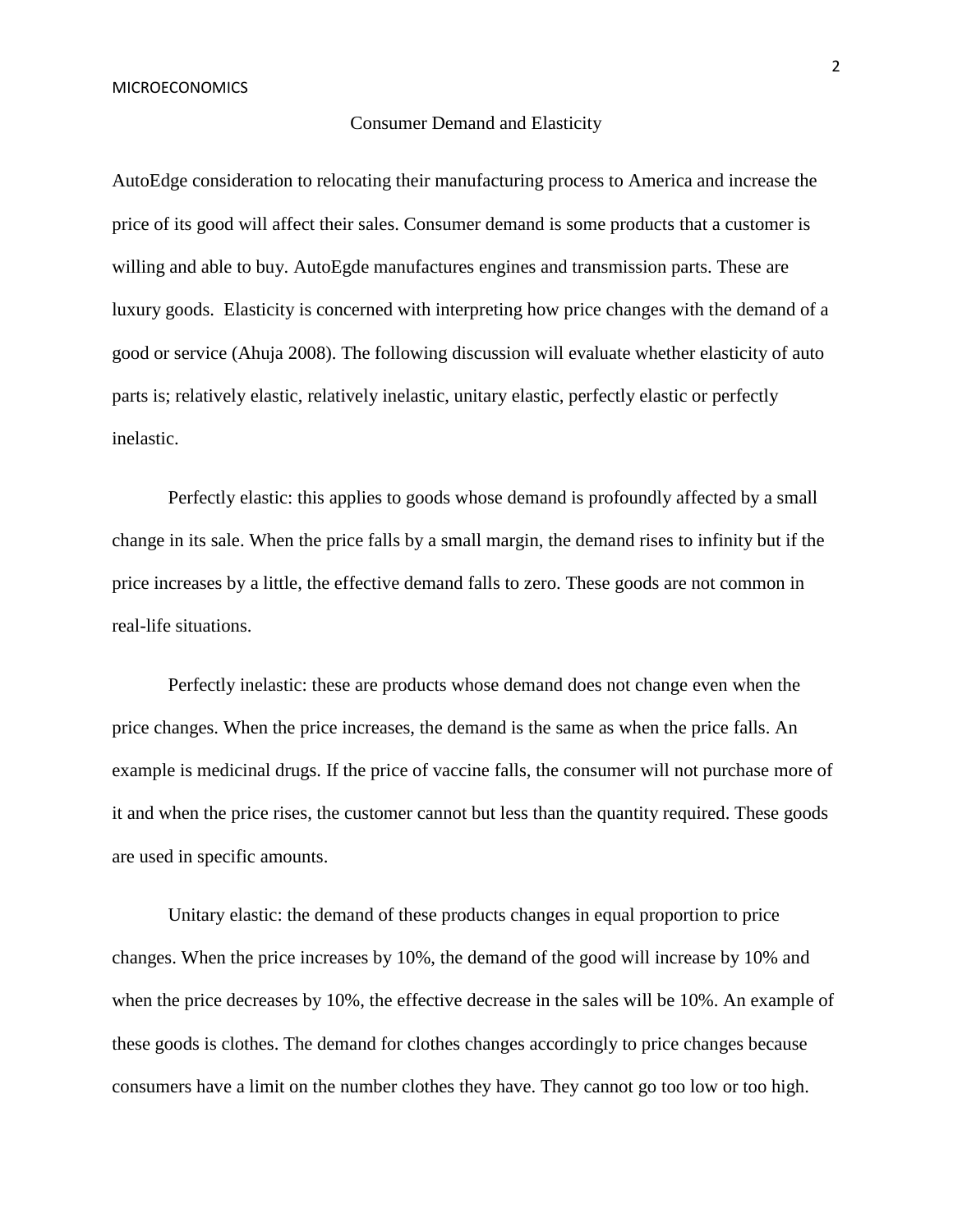## Consumer Demand and Elasticity

AutoEdge consideration to relocating their manufacturing process to America and increase the price of its good will affect their sales. Consumer demand is some products that a customer is willing and able to buy. AutoEgde manufactures engines and transmission parts. These are luxury goods. Elasticity is concerned with interpreting how price changes with the demand of a good or service (Ahuja 2008). The following discussion will evaluate whether elasticity of auto parts is; relatively elastic, relatively inelastic, unitary elastic, perfectly elastic or perfectly inelastic.

Perfectly elastic: this applies to goods whose demand is profoundly affected by a small change in its sale. When the price falls by a small margin, the demand rises to infinity but if the price increases by a little, the effective demand falls to zero. These goods are not common in real-life situations.

Perfectly inelastic: these are products whose demand does not change even when the price changes. When the price increases, the demand is the same as when the price falls. An example is medicinal drugs. If the price of vaccine falls, the consumer will not purchase more of it and when the price rises, the customer cannot but less than the quantity required. These goods are used in specific amounts.

Unitary elastic: the demand of these products changes in equal proportion to price changes. When the price increases by 10%, the demand of the good will increase by 10% and when the price decreases by 10%, the effective decrease in the sales will be 10%. An example of these goods is clothes. The demand for clothes changes accordingly to price changes because consumers have a limit on the number clothes they have. They cannot go too low or too high.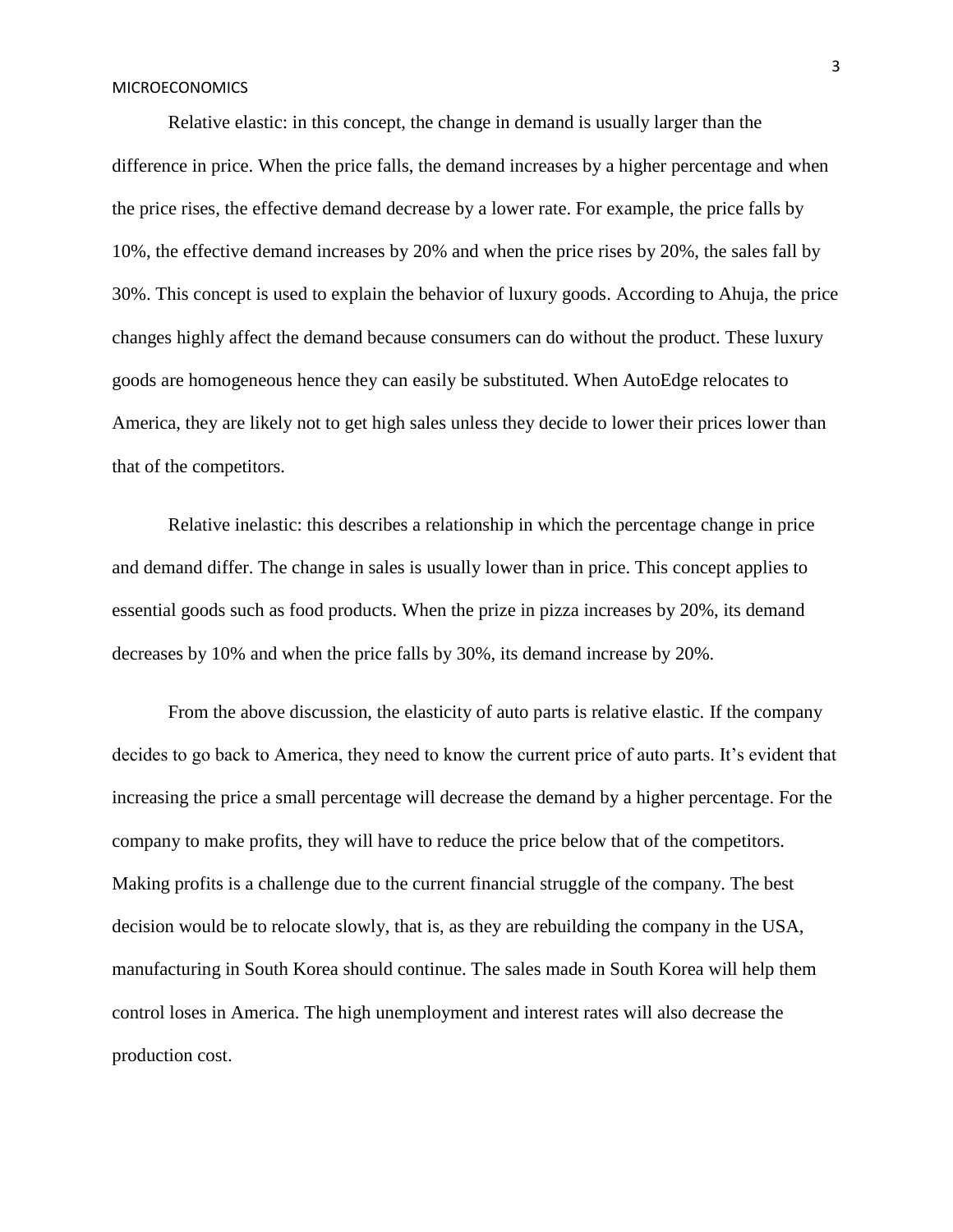## MICROECONOMICS

Relative elastic: in this concept, the change in demand is usually larger than the difference in price. When the price falls, the demand increases by a higher percentage and when the price rises, the effective demand decrease by a lower rate. For example, the price falls by 10%, the effective demand increases by 20% and when the price rises by 20%, the sales fall by 30%. This concept is used to explain the behavior of luxury goods. According to Ahuja, the price changes highly affect the demand because consumers can do without the product. These luxury goods are homogeneous hence they can easily be substituted. When AutoEdge relocates to America, they are likely not to get high sales unless they decide to lower their prices lower than that of the competitors.

Relative inelastic: this describes a relationship in which the percentage change in price and demand differ. The change in sales is usually lower than in price. This concept applies to essential goods such as food products. When the prize in pizza increases by 20%, its demand decreases by 10% and when the price falls by 30%, its demand increase by 20%.

From the above discussion, the elasticity of auto parts is relative elastic. If the company decides to go back to America, they need to know the current price of auto parts. It's evident that increasing the price a small percentage will decrease the demand by a higher percentage. For the company to make profits, they will have to reduce the price below that of the competitors. Making profits is a challenge due to the current financial struggle of the company. The best decision would be to relocate slowly, that is, as they are rebuilding the company in the USA, manufacturing in South Korea should continue. The sales made in South Korea will help them control loses in America. The high unemployment and interest rates will also decrease the production cost.